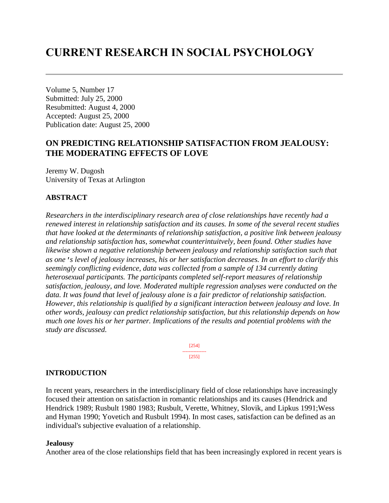# **CURRENT RESEARCH IN SOCIAL PSYCHOLOGY**

Volume 5, Number 17 Submitted: July 25, 2000 Resubmitted: August 4, 2000 Accepted: August 25, 2000 Publication date: August 25, 2000

# **ON PREDICTING RELATIONSHIP SATISFACTION FROM JEALOUSY: THE MODERATING EFFECTS OF LOVE**

Jeremy W. Dugosh University of Texas at Arlington

# **ABSTRACT**

*Researchers in the interdisciplinary research area of close relationships have recently had a renewed interest in relationship satisfaction and its causes. In some of the several recent studies that have looked at the determinants of relationship satisfaction, a positive link between jealousy and relationship satisfaction has, somewhat counterintuitvely, been found. Other studies have likewise shown a negative relationship between jealousy and relationship satisfaction such that as one's level of jealousy increases, his or her satisfaction decreases. In an effort to clarify this seemingly conflicting evidence, data was collected from a sample of 134 currently dating heterosexual participants. The participants completed self-report measures of relationship satisfaction, jealousy, and love. Moderated multiple regression analyses were conducted on the data. It was found that level of jealousy alone is a fair predictor of relationship satisfaction. However, this relationship is qualified by a significant interaction between jealousy and love. In other words, jealousy can predict relationship satisfaction, but this relationship depends on how much one loves his or her partner. Implications of the results and potential problems with the study are discussed.* 

> [254] --------------- [255]

## **INTRODUCTION**

In recent years, researchers in the interdisciplinary field of close relationships have increasingly focused their attention on satisfaction in romantic relationships and its causes (Hendrick and Hendrick 1989; Rusbult 1980 1983; Rusbult, Verette, Whitney, Slovik, and Lipkus 1991;Wess and Hyman 1990; Yovetich and Rusbult 1994). In most cases, satisfaction can be defined as an individual's subjective evaluation of a relationship.

#### **Jealousy**

Another area of the close relationships field that has been increasingly explored in recent years is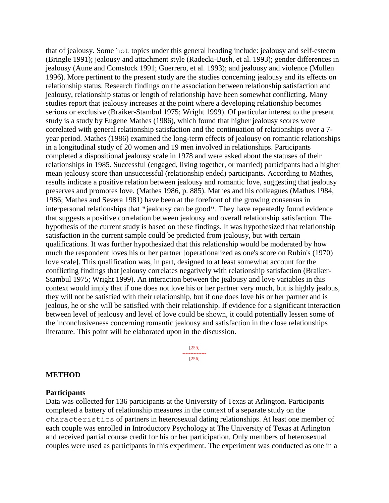that of jealousy. Some hot topics under this general heading include: jealousy and self-esteem (Bringle 1991); jealousy and attachment style (Radecki-Bush, et al. 1993); gender differences in jealousy (Aune and Comstock 1991; Guerrero, et al. 1993); and jealousy and violence (Mullen 1996). More pertinent to the present study are the studies concerning jealousy and its effects on relationship status. Research findings on the association between relationship satisfaction and jealousy, relationship status or length of relationship have been somewhat conflicting. Many studies report that jealousy increases at the point where a developing relationship becomes serious or exclusive (Braiker-Stambul 1975; Wright 1999). Of particular interest to the present study is a study by Eugene Mathes (1986), which found that higher jealousy scores were correlated with general relationship satisfaction and the continuation of relationships over a 7 year period. Mathes (1986) examined the long-term effects of jealousy on romantic relationships in a longitudinal study of 20 women and 19 men involved in relationships. Participants completed a dispositional jealousy scale in 1978 and were asked about the statuses of their relationships in 1985. Successful (engaged, living together, or married) participants had a higher mean jealousy score than unsuccessful (relationship ended) participants. According to Mathes, results indicate a positive relation between jealousy and romantic love, suggesting that jealousy preserves and promotes love. (Mathes 1986, p. 885). Mathes and his colleagues (Mathes 1984, 1986; Mathes and Severa 1981) have been at the forefront of the growing consensus in interpersonal relationships that "jealousy can be good". They have repeatedly found evidence that suggests a positive correlation between jealousy and overall relationship satisfaction. The hypothesis of the current study is based on these findings. It was hypothesized that relationship satisfaction in the current sample could be predicted from jealousy, but with certain qualifications. It was further hypothesized that this relationship would be moderated by how much the respondent loves his or her partner [operationalized as one's score on Rubin's (1970) love scale]. This qualification was, in part, designed to at least somewhat account for the conflicting findings that jealousy correlates negatively with relationship satisfaction (Braiker-Stambul 1975; Wright 1999). An interaction between the jealousy and love variables in this context would imply that if one does not love his or her partner very much, but is highly jealous, they will not be satisfied with their relationship, but if one does love his or her partner and is jealous, he or she will be satisfied with their relationship. If evidence for a significant interaction between level of jealousy and level of love could be shown, it could potentially lessen some of the inconclusiveness concerning romantic jealousy and satisfaction in the close relationships literature. This point will be elaborated upon in the discussion.

> [255] --------------- [256]

#### **METHOD**

#### **Participants**

Data was collected for 136 participants at the University of Texas at Arlington. Participants completed a battery of relationship measures in the context of a separate study on the characteristics of partners in heterosexual dating relationships. At least one member of each couple was enrolled in Introductory Psychology at The University of Texas at Arlington and received partial course credit for his or her participation. Only members of heterosexual couples were used as participants in this experiment. The experiment was conducted as one in a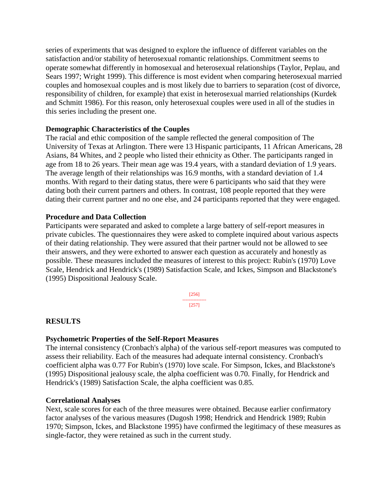series of experiments that was designed to explore the influence of different variables on the satisfaction and/or stability of heterosexual romantic relationships. Commitment seems to operate somewhat differently in homosexual and heterosexual relationships (Taylor, Peplau, and Sears 1997; Wright 1999). This difference is most evident when comparing heterosexual married couples and homosexual couples and is most likely due to barriers to separation (cost of divorce, responsibility of children, for example) that exist in heterosexual married relationships (Kurdek and Schmitt 1986). For this reason, only heterosexual couples were used in all of the studies in this series including the present one.

# **Demographic Characteristics of the Couples**

The racial and ethic composition of the sample reflected the general composition of The University of Texas at Arlington. There were 13 Hispanic participants, 11 African Americans, 28 Asians, 84 Whites, and 2 people who listed their ethnicity as Other. The participants ranged in age from 18 to 26 years. Their mean age was 19.4 years, with a standard deviation of 1.9 years. The average length of their relationships was 16.9 months, with a standard deviation of 1.4 months. With regard to their dating status, there were 6 participants who said that they were dating both their current partners and others. In contrast, 108 people reported that they were dating their current partner and no one else, and 24 participants reported that they were engaged.

# **Procedure and Data Collection**

Participants were separated and asked to complete a large battery of self-report measures in private cubicles. The questionnaires they were asked to complete inquired about various aspects of their dating relationship. They were assured that their partner would not be allowed to see their answers, and they were exhorted to answer each question as accurately and honestly as possible. These measures included the measures of interest to this project: Rubin's (1970) Love Scale, Hendrick and Hendrick's (1989) Satisfaction Scale, and Ickes, Simpson and Blackstone's (1995) Dispositional Jealousy Scale.

> [256] --------------- [257]

# **RESULTS**

## **Psychometric Properties of the Self-Report Measures**

The internal consistency (Cronbach's alpha) of the various self-report measures was computed to assess their reliability. Each of the measures had adequate internal consistency. Cronbach's coefficient alpha was 0.77 For Rubin's (1970) love scale. For Simpson, Ickes, and Blackstone's (1995) Dispositional jealousy scale, the alpha coefficient was 0.70. Finally, for Hendrick and Hendrick's (1989) Satisfaction Scale, the alpha coefficient was 0.85.

## **Correlational Analyses**

Next, scale scores for each of the three measures were obtained. Because earlier confirmatory factor analyses of the various measures (Dugosh 1998; Hendrick and Hendrick 1989; Rubin 1970; Simpson, Ickes, and Blackstone 1995) have confirmed the legitimacy of these measures as single-factor, they were retained as such in the current study.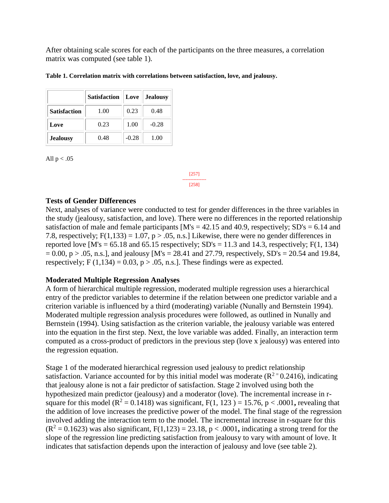After obtaining scale scores for each of the participants on the three measures, a correlation matrix was computed (see table 1).

|                     | <b>Satisfaction</b> | Love<br><b>Jealousy</b> |         |
|---------------------|---------------------|-------------------------|---------|
| <b>Satisfaction</b> | 1.00                | 0.23                    | 0.48    |
| Love                | 0.23                | 1.00                    | $-0.28$ |
| <b>Jealousy</b>     | 0.48                | $-0.28$                 | 1.00    |

**Table 1. Correlation matrix with correlations between satisfaction, love, and jealousy.** 

All  $p < .05$ 

[257] --------------- [258]

# **Tests of Gender Differences**

Next, analyses of variance were conducted to test for gender differences in the three variables in the study (jealousy, satisfaction, and love). There were no differences in the reported relationship satisfaction of male and female participants  $[M's = 42.15$  and 40.9, respectively; SD's = 6.14 and 7.8, respectively;  $F(1,133) = 1.07$ ,  $p > .05$ , n.s.] Likewise, there were no gender differences in reported love  $[M's = 65.18$  and  $65.15$  respectively;  $SD's = 11.3$  and 14.3, respectively;  $F(1, 134)$  $= 0.00$ , p > .05, n.s.], and jealousy [M's = 28.41 and 27.79, respectively, SD's = 20.54 and 19.84, respectively; F  $(1,134) = 0.03$ , p  $> .05$ , n.s.]. These findings were as expected.

# **Moderated Multiple Regression Analyses**

A form of hierarchical multiple regression, moderated multiple regression uses a hierarchical entry of the predictor variables to determine if the relation between one predictor variable and a criterion variable is influenced by a third (moderating) variable (Nunally and Bernstein 1994). Moderated multiple regression analysis procedures were followed, as outlined in Nunally and Bernstein (1994). Using satisfaction as the criterion variable, the jealousy variable was entered into the equation in the first step. Next, the love variable was added. Finally, an interaction term computed as a cross-product of predictors in the previous step (love x jealousy) was entered into the regression equation.

Stage 1 of the moderated hierarchical regression used jealousy to predict relationship satisfaction. Variance accounted for by this initial model was moderate  $(R^2 = 0.2416)$ , indicating that jealousy alone is not a fair predictor of satisfaction. Stage 2 involved using both the hypothesized main predictor (jealousy) and a moderator (love). The incremental increase in rsquare for this model ( $R^2 = 0.1418$ ) was significant,  $F(1, 123) = 15.76$ ,  $p < .0001$ , revealing that the addition of love increases the predictive power of the model. The final stage of the regression involved adding the interaction term to the model. The incremental increase in r-square for this  $(R^2 = 0.1623)$  was also significant,  $F(1,123) = 23.18$ ,  $p < .0001$ , indicating a strong trend for the slope of the regression line predicting satisfaction from jealousy to vary with amount of love. It indicates that satisfaction depends upon the interaction of jealousy and love (see table 2).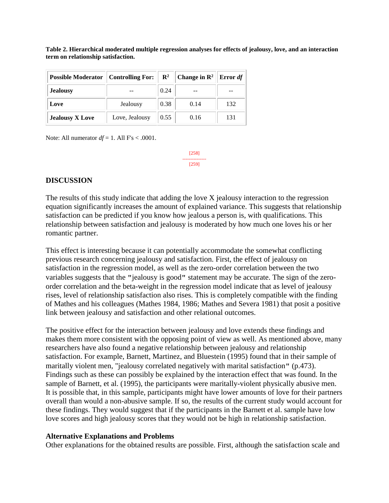| <b>Possible Moderator   Controlling For:</b> |                | $\mathbf{R}^2$ | Change in $\mathbb{R}^2$ | <b>Error</b> $df$ |
|----------------------------------------------|----------------|----------------|--------------------------|-------------------|
| <b>Jealousy</b>                              |                | 0.24           |                          |                   |
| Love                                         | Jealousy       | 0.38           | 0.14                     | 132               |
| <b>Jealousy X Love</b>                       | Love, Jealousy | 0.55           | 0.16                     | 131               |

**Table 2. Hierarchical moderated multiple regression analyses for effects of jealousy, love, and an interaction term on relationship satisfaction.** 

Note: All numerator  $df = 1$ . All  $Fs < .0001$ .

[258] --------------- [259]

## **DISCUSSION**

The results of this study indicate that adding the love X jealousy interaction to the regression equation significantly increases the amount of explained variance. This suggests that relationship satisfaction can be predicted if you know how jealous a person is, with qualifications. This relationship between satisfaction and jealousy is moderated by how much one loves his or her romantic partner.

This effect is interesting because it can potentially accommodate the somewhat conflicting previous research concerning jealousy and satisfaction. First, the effect of jealousy on satisfaction in the regression model, as well as the zero-order correlation between the two variables suggests that the "jealousy is good" statement may be accurate. The sign of the zeroorder correlation and the beta-weight in the regression model indicate that as level of jealousy rises, level of relationship satisfaction also rises. This is completely compatible with the finding of Mathes and his colleagues (Mathes 1984, 1986; Mathes and Severa 1981) that posit a positive link between jealousy and satisfaction and other relational outcomes.

The positive effect for the interaction between jealousy and love extends these findings and makes them more consistent with the opposing point of view as well. As mentioned above, many researchers have also found a negative relationship between jealousy and relationship satisfaction. For example, Barnett, Martinez, and Bluestein (1995) found that in their sample of maritally violent men, "jealousy correlated negatively with marital satisfaction" (p.473). Findings such as these can possibly be explained by the interaction effect that was found. In the sample of Barnett, et al. (1995), the participants were maritally-violent physically abusive men. It is possible that, in this sample, participants might have lower amounts of love for their partners overall than would a non-abusive sample. If so, the results of the current study would account for these findings. They would suggest that if the participants in the Barnett et al. sample have low love scores and high jealousy scores that they would not be high in relationship satisfaction.

#### **Alternative Explanations and Problems**

Other explanations for the obtained results are possible. First, although the satisfaction scale and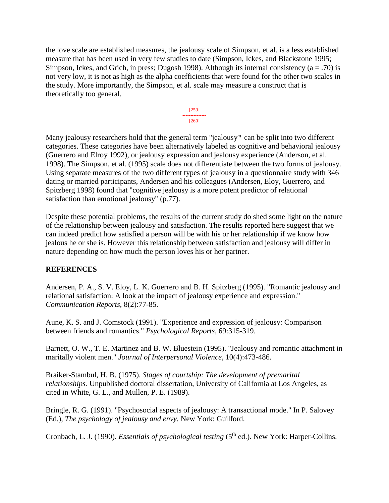the love scale are established measures, the jealousy scale of Simpson, et al. is a less established measure that has been used in very few studies to date (Simpson, Ickes, and Blackstone 1995; Simpson, Ickes, and Grich, in press; Dugosh 1998). Although its internal consistency  $(a = .70)$  is not very low, it is not as high as the alpha coefficients that were found for the other two scales in the study. More importantly, the Simpson, et al. scale may measure a construct that is theoretically too general.



Many jealousy researchers hold that the general term "jealousy" can be split into two different categories. These categories have been alternatively labeled as cognitive and behavioral jealousy (Guerrero and Elroy 1992), or jealousy expression and jealousy experience (Anderson, et al. 1998). The Simpson, et al. (1995) scale does not differentiate between the two forms of jealousy. Using separate measures of the two different types of jealousy in a questionnaire study with 346 dating or married participants, Andersen and his colleagues (Andersen, Eloy, Guerrero, and Spitzberg 1998) found that "cognitive jealousy is a more potent predictor of relational satisfaction than emotional jealousy" (p.77).

Despite these potential problems, the results of the current study do shed some light on the nature of the relationship between jealousy and satisfaction. The results reported here suggest that we can indeed predict how satisfied a person will be with his or her relationship if we know how jealous he or she is. However this relationship between satisfaction and jealousy will differ in nature depending on how much the person loves his or her partner.

# **REFERENCES**

Andersen, P. A., S. V. Eloy, L. K. Guerrero and B. H. Spitzberg (1995). "Romantic jealousy and relational satisfaction: A look at the impact of jealousy experience and expression." *Communication Reports*, 8(2):77-85.

Aune, K. S. and J. Comstock (1991). "Experience and expression of jealousy: Comparison between friends and romantics." *Psychological Reports*, 69:315-319.

Barnett, O. W., T. E. Martinez and B. W. Bluestein (1995). "Jealousy and romantic attachment in maritally violent men." *Journal of Interpersonal Violence*, 10(4):473-486.

Braiker-Stambul, H. B. (1975). *Stages of courtship: The development of premarital relationships.* Unpublished doctoral dissertation, University of California at Los Angeles, as cited in White, G. L., and Mullen, P. E. (1989).

Bringle, R. G. (1991). "Psychosocial aspects of jealousy: A transactional mode." In P. Salovey (Ed.), *The psychology of jealousy and envy.* New York: Guilford.

Cronbach, L. J. (1990). *Essentials of psychological testing* (5<sup>th</sup> ed.). New York: Harper-Collins.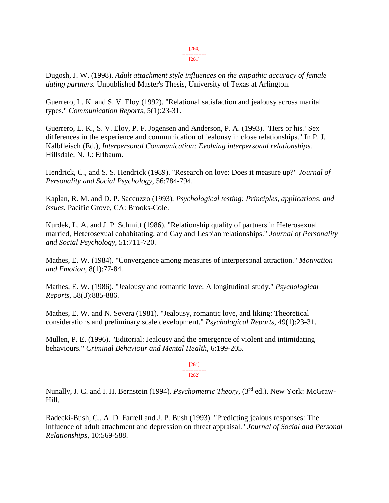[261]

Dugosh, J. W. (1998). *Adult attachment style influences on the empathic accuracy of female dating partners.* Unpublished Master's Thesis, University of Texas at Arlington.

Guerrero, L. K. and S. V. Eloy (1992). "Relational satisfaction and jealousy across marital types." *Communication Reports*, 5(1):23-31.

Guerrero, L. K., S. V. Eloy, P. F. Jogensen and Anderson, P. A. (1993). "Hers or his? Sex differences in the experience and communication of jealousy in close relationships." In P. J. Kalbfleisch (Ed.), *Interpersonal Communication: Evolving interpersonal relationships.*  Hillsdale, N. J.: Erlbaum.

Hendrick, C., and S. S. Hendrick (1989). "Research on love: Does it measure up?" *Journal of Personality and Social Psychology*, 56:784-794.

Kaplan, R. M. and D. P. Saccuzzo (1993)*. Psychological testing: Principles, applications, and issues.* Pacific Grove, CA: Brooks-Cole.

Kurdek, L. A. and J. P. Schmitt (1986). "Relationship quality of partners in Heterosexual married, Heterosexual cohabitating, and Gay and Lesbian relationships." *Journal of Personality and Social Psychology*, 51:711-720.

Mathes, E. W. (1984). "Convergence among measures of interpersonal attraction." *Motivation and Emotion*, 8(1):77-84.

Mathes, E. W. (1986). "Jealousy and romantic love: A longitudinal study." *Psychological Reports*, 58(3):885-886.

Mathes, E. W. and N. Severa (1981). "Jealousy, romantic love, and liking: Theoretical considerations and preliminary scale development." *Psychological Reports*, 49(1):23-31.

Mullen, P. E. (1996). "Editorial: Jealousy and the emergence of violent and intimidating behaviours." *Criminal Behaviour and Mental Health*, 6:199-205.

> [261] --------------- [262]

Nunally, J. C. and I. H. Bernstein (1994). *Psychometric Theory*, (3<sup>rd</sup> ed.). New York: McGraw-Hill.

Radecki-Bush, C., A. D. Farrell and J. P. Bush (1993). "Predicting jealous responses: The influence of adult attachment and depression on threat appraisal." *Journal of Social and Personal Relationships*, 10:569-588.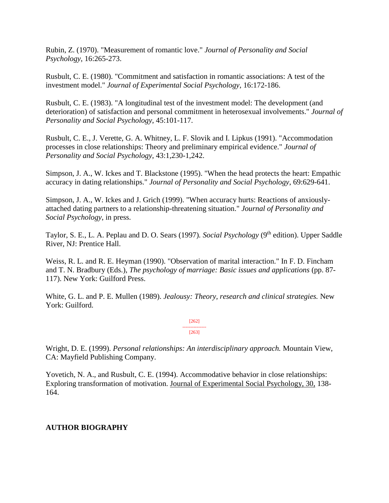Rubin, Z. (1970). "Measurement of romantic love." *Journal of Personality and Social Psychology*, 16:265-273.

Rusbult, C. E. (1980). "Commitment and satisfaction in romantic associations: A test of the investment model." *Journal of Experimental Social Psychology*, 16:172-186.

Rusbult, C. E. (1983). "A longitudinal test of the investment model: The development (and deterioration) of satisfaction and personal commitment in heterosexual involvements." *Journal of Personality and Social Psychology*, 45:101-117.

Rusbult, C. E., J. Verette, G. A. Whitney, L. F. Slovik and I. Lipkus (1991). "Accommodation processes in close relationships: Theory and preliminary empirical evidence." *Journal of Personality and Social Psychology*, 43:1,230-1,242.

Simpson, J. A., W. Ickes and T. Blackstone (1995). "When the head protects the heart: Empathic accuracy in dating relationships." *Journal of Personality and Social Psychology*, 69:629-641.

Simpson, J. A., W. Ickes and J. Grich (1999). "When accuracy hurts: Reactions of anxiouslyattached dating partners to a relationship-threatening situation." *Journal of Personality and Social Psychology*, in press.

Taylor, S. E., L. A. Peplau and D. O. Sears (1997). Social Psychology (9<sup>th</sup> edition). Upper Saddle River, NJ: Prentice Hall.

Weiss, R. L. and R. E. Heyman (1990). "Observation of marital interaction." In F. D. Fincham and T. N. Bradbury (Eds.), *The psychology of marriage: Basic issues and applications* (pp. 87- 117). New York: Guilford Press.

White, G. L. and P. E. Mullen (1989). *Jealousy: Theory, research and clinical strategies.* New York: Guilford.

> [262] --------------- [263]

Wright, D. E. (1999). *Personal relationships: An interdisciplinary approach.* Mountain View, CA: Mayfield Publishing Company.

Yovetich, N. A., and Rusbult, C. E. (1994). Accommodative behavior in close relationships: Exploring transformation of motivation. Journal of Experimental Social Psychology, 30, 138- 164.

# **AUTHOR BIOGRAPHY**